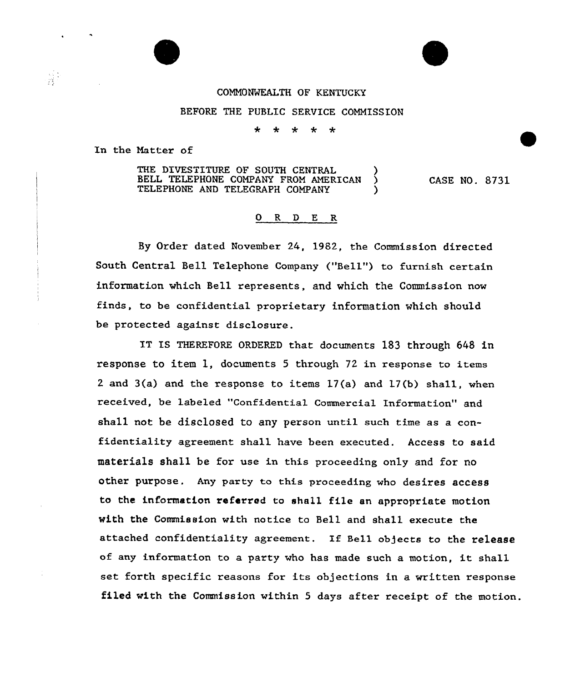## CONN0%lEALTH OF KENTUCKY

## BEFORE THE PUBLIC SERVICE COMMISSION

 $\star$  $\star$ 

In the Natter of

THE DIVESTITURE OF SOUTH CENTRAL (3) BELL TELEPHONE COMPANY FROM AMERICAN TELEPHONE AND TELEGRAPH COMPANY CASE NO. 8731

## 0 R <sup>D</sup> E R

By Order dated November 24, 1982, the Commission directed South Central Bell Telephone Company ("Bell") to furnish certain information which Bell represents, and which the Commission now finds, to be confidential proprietary information which should be protected against disclosure.

IT IS THEREFORE ORDERED that documents 183 through 648 in response to item 1, documents 5 through 72 in response to items 2 and  $3(a)$  and the response to items  $17(a)$  and  $17(b)$  shall, when received, be labeled "Confidential Commercial Information" and shall not be disclosed to any person until such time as a confidentiality agreement shall have been executed. Access to said materials shall be for use in this proceeding only and for no other purpose. Any party to this proceeding who desires access to the information referred to shall file an appropriate motion with the Commission with notice to Bell and shall execute the attached confidentiality agreement. If Be11 objects to the release of any information to <sup>a</sup> party who has made such <sup>a</sup> motion, it shall set forth specific reasons for its objections in a written response filed with the Commission within <sup>5</sup> days after receipt of the motion.